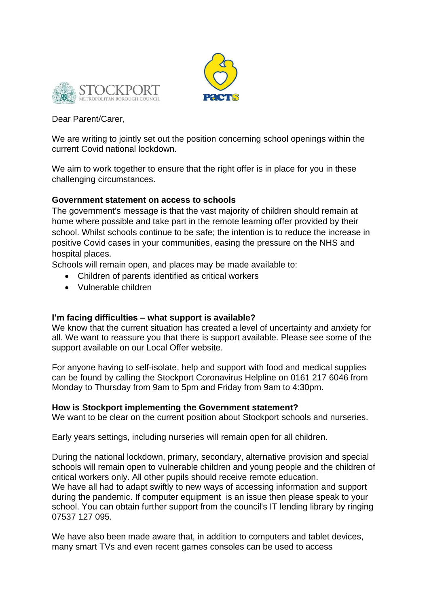



## Dear Parent/Carer,

We are writing to jointly set out the position concerning school openings within the current Covid national lockdown.

We aim to work together to ensure that the right offer is in place for you in these challenging circumstances.

# **Government statement on access to schools**

The government's message is that the vast majority of children should remain at home where possible and take part in the remote learning offer provided by their school. Whilst schools continue to be safe; the intention is to reduce the increase in positive Covid cases in your communities, easing the pressure on the NHS and hospital places.

Schools will remain open, and places may be made available to:

- Children of parents identified as critical workers
- Vulnerable children

# **I'm facing difficulties – what support is available?**

We know that the current situation has created a level of uncertainty and anxiety for all. We want to reassure you that there is support available. Please see some of the support available on our Local Offer website.

For anyone having to self-isolate, help and support with food and medical supplies can be found by calling the Stockport Coronavirus Helpline on 0161 217 6046 from Monday to Thursday from 9am to 5pm and Friday from 9am to 4:30pm.

## **How is Stockport implementing the Government statement?**

We want to be clear on the current position about Stockport schools and nurseries.

Early years settings, including nurseries will remain open for all children.

During the national lockdown, primary, secondary, alternative provision and special schools will remain open to vulnerable children and young people and the children of critical workers only. All other pupils should receive remote education. We have all had to adapt swiftly to new ways of accessing information and support during the pandemic. If computer equipment is an issue then please speak to your school. You can obtain further support from the council's IT lending library by ringing 07537 127 095.

We have also been made aware that, in addition to computers and tablet devices, many smart TVs and even recent games consoles can be used to access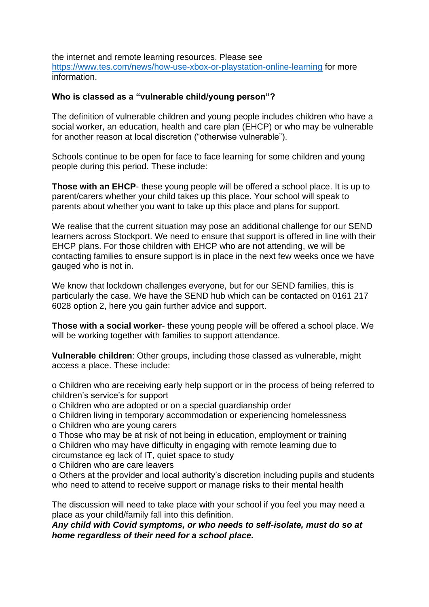the internet and remote learning resources. Please see <https://www.tes.com/news/how-use-xbox-or-playstation-online-learning> for more information.

#### **Who is classed as a "vulnerable child/young person"?**

The definition of vulnerable children and young people includes children who have a social worker, an education, health and care plan (EHCP) or who may be vulnerable for another reason at local discretion ("otherwise vulnerable").

Schools continue to be open for face to face learning for some children and young people during this period. These include:

**Those with an EHCP**- these young people will be offered a school place. It is up to parent/carers whether your child takes up this place. Your school will speak to parents about whether you want to take up this place and plans for support.

We realise that the current situation may pose an additional challenge for our SEND learners across Stockport. We need to ensure that support is offered in line with their EHCP plans. For those children with EHCP who are not attending, we will be contacting families to ensure support is in place in the next few weeks once we have gauged who is not in.

We know that lockdown challenges everyone, but for our SEND families, this is particularly the case. We have the SEND hub which can be contacted on 0161 217 6028 option 2, here you gain further advice and support.

**Those with a social worker**- these young people will be offered a school place. We will be working together with families to support attendance.

**Vulnerable children**: Other groups, including those classed as vulnerable, might access a place. These include:

o Children who are receiving early help support or in the process of being referred to children's service's for support

o Children who are adopted or on a special guardianship order

o Children living in temporary accommodation or experiencing homelessness

o Children who are young carers

o Those who may be at risk of not being in education, employment or training o Children who may have difficulty in engaging with remote learning due to

circumstance eg lack of IT, quiet space to study

o Children who are care leavers

o Others at the provider and local authority's discretion including pupils and students who need to attend to receive support or manage risks to their mental health

The discussion will need to take place with your school if you feel you may need a place as your child/family fall into this definition.

*Any child with Covid symptoms, or who needs to self-isolate, must do so at home regardless of their need for a school place.*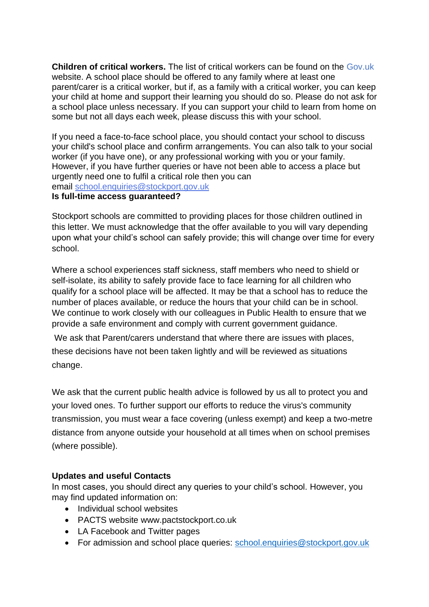**Children of critical workers.** The list of critical workers can be found on the Gov.uk website. A school place should be offered to any family where at least one parent/carer is a critical worker, but if, as a family with a critical worker, you can keep your child at home and support their learning you should do so. Please do not ask for a school place unless necessary. If you can support your child to learn from home on some but not all days each week, please discuss this with your school.

If you need a face-to-face school place, you should contact your school to discuss your child's school place and confirm arrangements. You can also talk to your social worker (if you have one), or any professional working with you or your family. However, if you have further queries or have not been able to access a place but urgently need one to fulfil a critical role then you can email [school.enquiries@stockport.gov.uk](mailto:school.enquiries@stockport.gov.uk)

#### **Is full-time access guaranteed?**

Stockport schools are committed to providing places for those children outlined in this letter. We must acknowledge that the offer available to you will vary depending upon what your child's school can safely provide; this will change over time for every school.

Where a school experiences staff sickness, staff members who need to shield or self-isolate, its ability to safely provide face to face learning for all children who qualify for a school place will be affected. It may be that a school has to reduce the number of places available, or reduce the hours that your child can be in school. We continue to work closely with our colleagues in Public Health to ensure that we provide a safe environment and comply with current government guidance.

We ask that Parent/carers understand that where there are issues with places, these decisions have not been taken lightly and will be reviewed as situations change.

We ask that the current public health advice is followed by us all to protect you and your loved ones. To further support our efforts to reduce the virus's community transmission, you must wear a face covering (unless exempt) and keep a two-metre distance from anyone outside your household at all times when on school premises (where possible).

## **Updates and useful Contacts**

In most cases, you should direct any queries to your child's school. However, you may find updated information on:

- Individual school websites
- PACTS website www.pactstockport.co.uk
- LA Facebook and Twitter pages
- For admission and school place queries: [school.enquiries@stockport.gov.uk](mailto:school.enquiries@stockport.gov.uk)